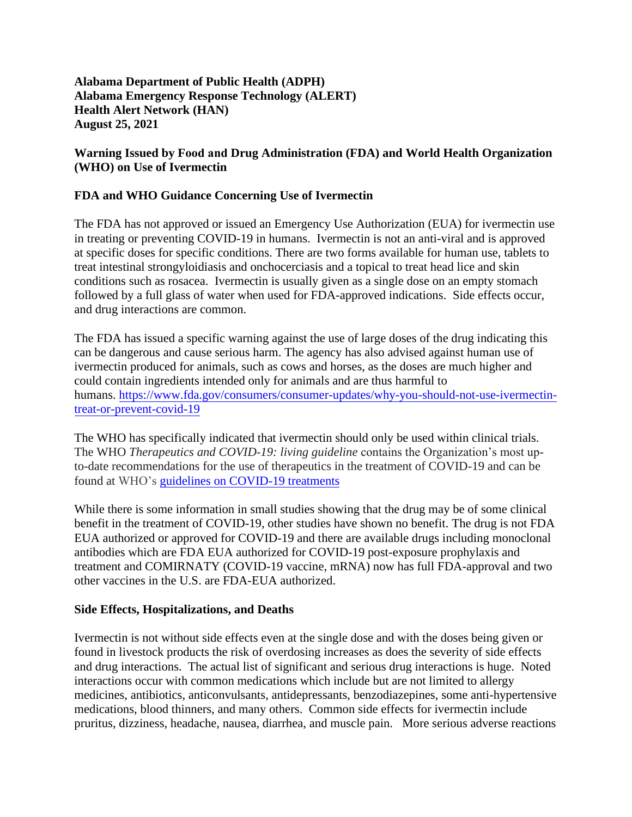**Alabama Department of Public Health (ADPH) Alabama Emergency Response Technology (ALERT) Health Alert Network (HAN) August 25, 2021**

### **Warning Issued by Food and Drug Administration (FDA) and World Health Organization (WHO) on Use of Ivermectin**

## **FDA and WHO Guidance Concerning Use of Ivermectin**

The FDA has not approved or issued an Emergency Use Authorization (EUA) for ivermectin use in treating or preventing COVID-19 in humans. Ivermectin is not an anti-viral and is approved at specific doses for specific conditions. There are two forms available for human use, tablets to treat intestinal strongyloidiasis and onchocerciasis and a topical to treat head lice and skin conditions such as rosacea. Ivermectin is usually given as a single dose on an empty stomach followed by a full glass of water when used for FDA-approved indications. Side effects occur, and drug interactions are common.

The FDA has issued a specific warning against the use of large doses of the drug indicating this can be dangerous and cause serious harm. The agency has also advised against human use of ivermectin produced for animals, such as cows and horses, as the doses are much higher and could contain ingredients intended only for animals and are thus harmful to humans. [https://www.fda.gov/consumers/consumer-updates/why-you-should-not-use-ivermectin](https://www.fda.gov/consumers/consumer-updates/why-you-should-not-use-ivermectin-treat-or-prevent-covid-19)[treat-or-prevent-covid-19](https://www.fda.gov/consumers/consumer-updates/why-you-should-not-use-ivermectin-treat-or-prevent-covid-19)

The WHO has specifically indicated that ivermectin should only be used within clinical trials. The WHO *Therapeutics and COVID-19: living guideline* contains the Organization's most upto-date recommendations for the use of therapeutics in the treatment of COVID-19 and can be found at WHO's [guidelines on COVID-19 treatments](https://www.who.int/publications/i/item/therapeutics-and-covid-19-living-guideline)

While there is some information in small studies showing that the drug may be of some clinical benefit in the treatment of COVID-19, other studies have shown no benefit. The drug is not FDA EUA authorized or approved for COVID-19 and there are available drugs including monoclonal antibodies which are FDA EUA authorized for COVID-19 post-exposure prophylaxis and treatment and COMIRNATY (COVID-19 vaccine, mRNA) now has full FDA-approval and two other vaccines in the U.S. are FDA-EUA authorized.

#### **Side Effects, Hospitalizations, and Deaths**

Ivermectin is not without side effects even at the single dose and with the doses being given or found in livestock products the risk of overdosing increases as does the severity of side effects and drug interactions. The actual list of significant and serious drug interactions is huge. Noted interactions occur with common medications which include but are not limited to allergy medicines, antibiotics, anticonvulsants, antidepressants, benzodiazepines, some anti-hypertensive medications, blood thinners, and many others. Common side effects for ivermectin include pruritus, dizziness, headache, nausea, diarrhea, and muscle pain. More serious adverse reactions